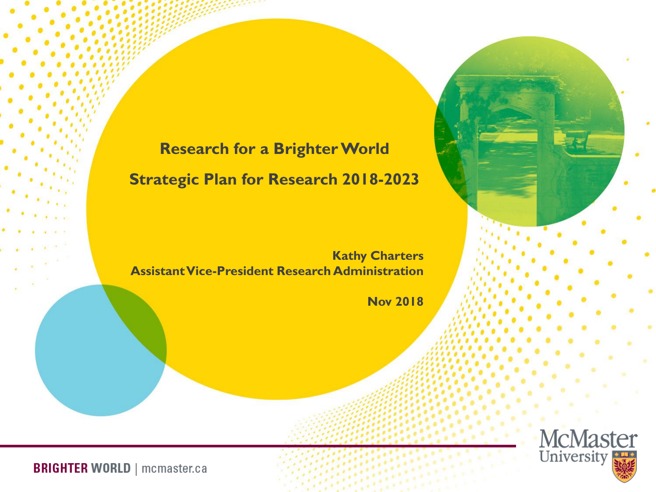### **Research for a Brighter World Strategic Plan for Research 2018-2023**

**Kathy Charters Assistant Vice-President Research Administration**

**Nov 2018**

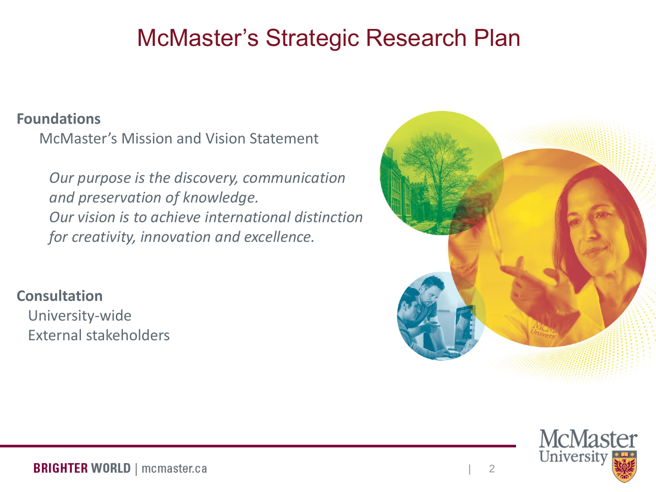### McMaster's Strategic Research Plan

#### **Foundations**

McMaster's Mission and Vision Statement

*Our purpose is the discovery, communication and preservation of knowledge. Our vision is to achieve international distinction for creativity, innovation and excellence.*

**Consultation** University-wide External stakeholders



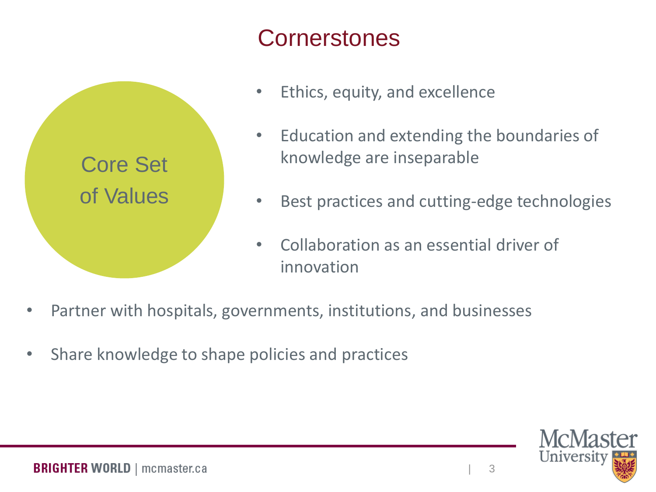### **Cornerstones**



- Ethics, equity, and excellence
- Education and extending the boundaries of knowledge are inseparable
- Best practices and cutting-edge technologies
- Collaboration as an essential driver of innovation
- Partner with hospitals, governments, institutions, and businesses
- Share knowledge to shape policies and practices

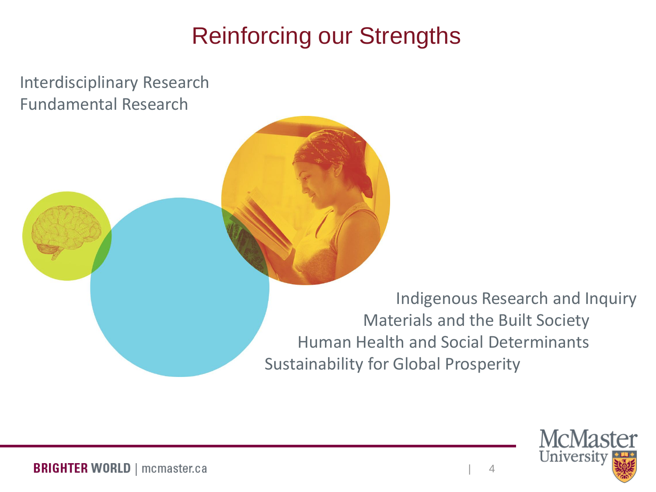## Reinforcing our Strengths

Interdisciplinary Research Fundamental Research

> Indigenous Research and Inquiry Materials and the Built Society Human Health and Social Determinants Sustainability for Global Prosperity

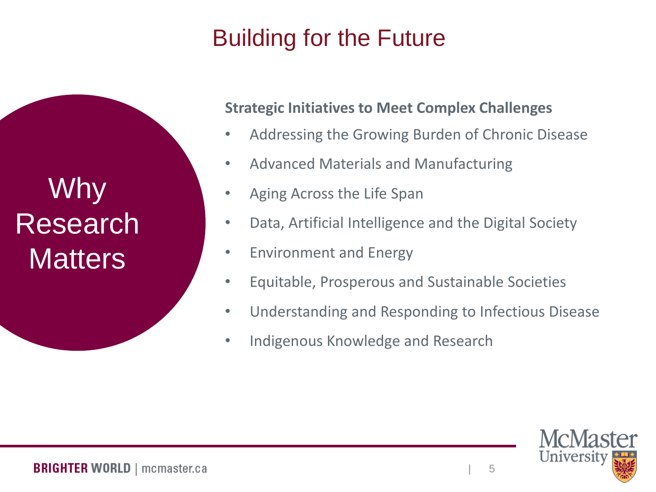# Building for the Future

Why Research **Matters** 

#### **Strategic Initiatives to Meet Complex Challenges**

- Addressing the Growing Burden of Chronic Disease
- Advanced Materials and Manufacturing
- Aging Across the Life Span
- Data, Artificial Intelligence and the Digital Society
- Environment and Energy
- Equitable, Prosperous and Sustainable Societies
- Understanding and Responding to Infectious Disease
- Indigenous Knowledge and Research

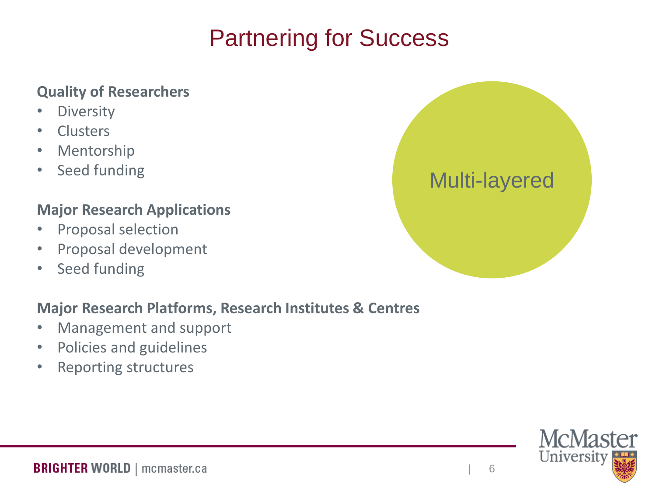## Partnering for Success

#### **Quality of Researchers**

- Diversity
- Clusters
- Mentorship
- Seed funding

#### **Major Research Applications**

- Proposal selection
- Proposal development
- Seed funding

#### **Major Research Platforms, Research Institutes & Centres**

- Management and support
- Policies and guidelines
- Reporting structures



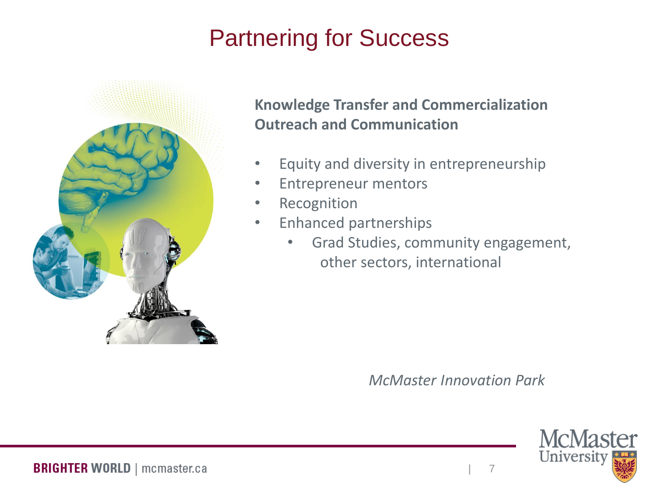# Partnering for Success



**Knowledge Transfer and Commercialization Outreach and Communication**

- Equity and diversity in entrepreneurship
- Entrepreneur mentors
- Recognition
- Enhanced partnerships
	- Grad Studies, community engagement, other sectors, international

*McMaster Innovation Park*